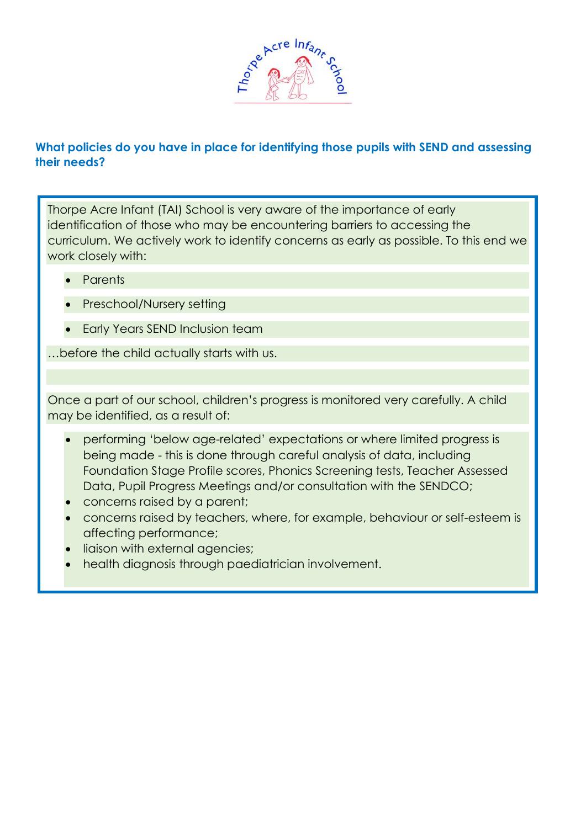

# **What policies do you have in place for identifying those pupils with SEND and assessing their needs?**

Thorpe Acre Infant (TAI) School is very aware of the importance of early identification of those who may be encountering barriers to accessing the curriculum. We actively work to identify concerns as early as possible. To this end we work closely with:

- Parents
- Preschool/Nursery setting
- Early Years SEND Inclusion team

…before the child actually starts with us.

Once a part of our school, children's progress is monitored very carefully. A child may be identified, as a result of:

- performing 'below age-related' expectations or where limited progress is being made - this is done through careful analysis of data, including Foundation Stage Profile scores, Phonics Screening tests, Teacher Assessed Data, Pupil Progress Meetings and/or consultation with the SENDCO;
- concerns raised by a parent;
- concerns raised by teachers, where, for example, behaviour or self-esteem is affecting performance;
- liaison with external agencies;
- health diagnosis through paediatrician involvement.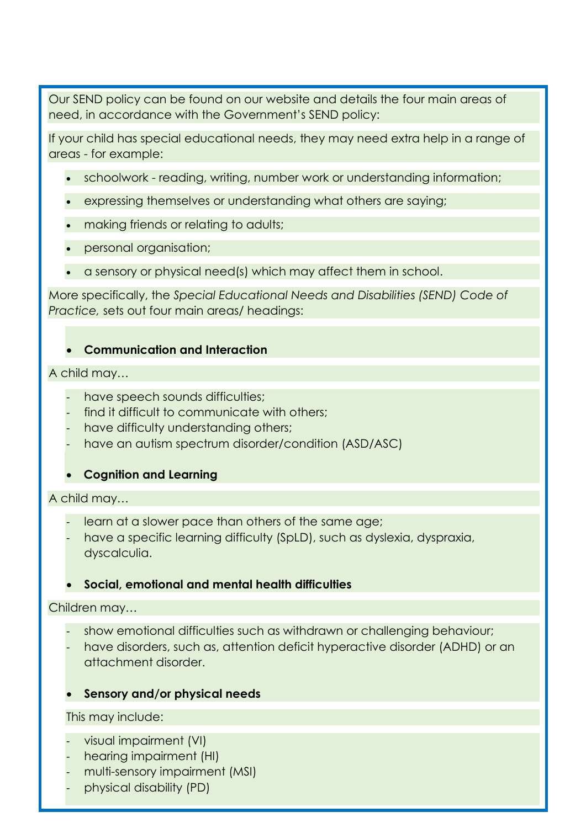Our SEND policy can be found on our website and details the four main areas of need, in accordance with the Government's SEND policy:

If your child has special educational needs, they may need extra help in a range of areas - for example:

- schoolwork reading, writing, number work or understanding information;
- expressing themselves or understanding what others are saying;
- making friends or relating to adults;
- personal organisation;
- a sensory or physical need(s) which may affect them in school.

More specifically, the *Special Educational Needs and Disabilities (SEND) Code of Practice,* sets out four main areas/ headings:

## • **Communication and Interaction**

### A child may…

- have speech sounds difficulties;
- find it difficult to communicate with others;
- have difficulty understanding others;
- have an autism spectrum disorder/condition (ASD/ASC)

## • **Cognition and Learning**

### A child may…

- learn at a slower pace than others of the same age;
- have a specific learning difficulty (SpLD), such as dyslexia, dyspraxia, dyscalculia.

## • **Social, emotional and mental health difficulties**

### Children may…

- show emotional difficulties such as withdrawn or challenging behaviour;
- have disorders, such as, attention deficit hyperactive disorder (ADHD) or an attachment disorder.

## • **Sensory and/or physical needs**

### This may include:

- visual impairment (VI)
- hearing impairment (HI)
- multi-sensory impairment (MSI)
- physical disability (PD)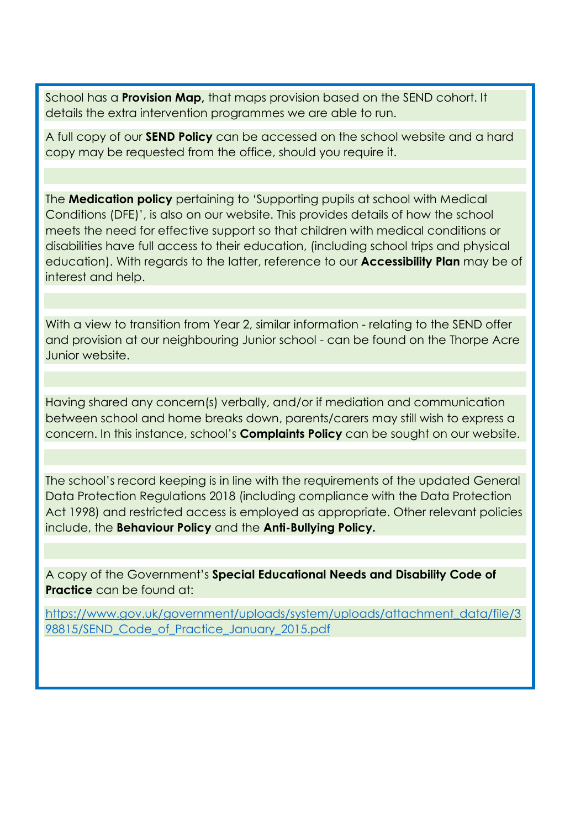School has a **Provision Map,** that maps provision based on the SEND cohort. It details the extra intervention programmes we are able to run.

A full copy of our **SEND Policy** can be accessed on the school website and a hard copy may be requested from the office, should you require it.

The **Medication policy** pertaining to 'Supporting pupils at school with Medical Conditions (DFE)', is also on our website. This provides details of how the school meets the need for effective support so that children with medical conditions or disabilities have full access to their education, (including school trips and physical education). With regards to the latter, reference to our **Accessibility Plan** may be of interest and help.

With a view to transition from Year 2, similar information - relating to the SEND offer and provision at our neighbouring Junior school - can be found on the Thorpe Acre Junior website.

Having shared any concern(s) verbally, and/or if mediation and communication between school and home breaks down, parents/carers may still wish to express a concern. In this instance, school's **Complaints Policy** can be sought on our website.

The school's record keeping is in line with the requirements of the updated General Data Protection Regulations 2018 (including compliance with the Data Protection Act 1998) and restricted access is employed as appropriate. Other relevant policies include, the **Behaviour Policy** and the **Anti-Bullying Policy.**

A copy of the Government's **Special Educational Needs and Disability Code of Practice** can be found at:

[https://www.gov.uk/government/uploads/system/uploads/attachment\\_data/file/3](https://www.gov.uk/government/uploads/system/uploads/attachment_data/file/398815/SEND_Code_of_Practice_January_2015.pdf) [98815/SEND\\_Code\\_of\\_Practice\\_January\\_2015.pdf](https://www.gov.uk/government/uploads/system/uploads/attachment_data/file/398815/SEND_Code_of_Practice_January_2015.pdf)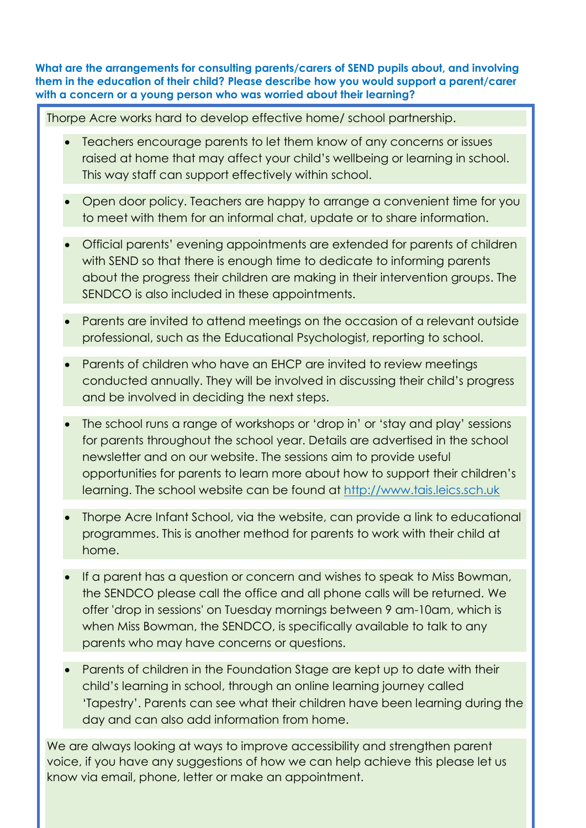**What are the arrangements for consulting parents/carers of SEND pupils about, and involving them in the education of their child? Please describe how you would support a parent/carer with a concern or a young person who was worried about their learning?**

Thorpe Acre works hard to develop effective home/ school partnership.

- Teachers encourage parents to let them know of any concerns or issues raised at home that may affect your child's wellbeing or learning in school. This way staff can support effectively within school.
- Open door policy. Teachers are happy to arrange a convenient time for you to meet with them for an informal chat, update or to share information.
- Official parents' evening appointments are extended for parents of children with SEND so that there is enough time to dedicate to informing parents about the progress their children are making in their intervention groups. The SENDCO is also included in these appointments.
- Parents are invited to attend meetings on the occasion of a relevant outside professional, such as the Educational Psychologist, reporting to school.
- Parents of children who have an EHCP are invited to review meetings conducted annually. They will be involved in discussing their child's progress and be involved in deciding the next steps.
- The school runs a range of workshops or 'drop in' or 'stay and play' sessions for parents throughout the school year. Details are advertised in the school newsletter and on our website. The sessions aim to provide useful opportunities for parents to learn more about how to support their children's learning. The school website can be found at [http://www.tais.leics.sch.uk](http://www.tais.leics.sch.uk/)
- Thorpe Acre Infant School, via the website, can provide a link to educational programmes. This is another method for parents to work with their child at home.
- If a parent has a question or concern and wishes to speak to Miss Bowman, the SENDCO please call the office and all phone calls will be returned. We offer 'drop in sessions' on Tuesday mornings between 9 am-10am, which is when Miss Bowman, the SENDCO, is specifically available to talk to any parents who may have concerns or questions.
- Parents of children in the Foundation Stage are kept up to date with their child's learning in school, through an online learning journey called 'Tapestry'. Parents can see what their children have been learning during the day and can also add information from home.

We are always looking at ways to improve accessibility and strengthen parent voice, if you have any suggestions of how we can help achieve this please let us know via email, phone, letter or make an appointment.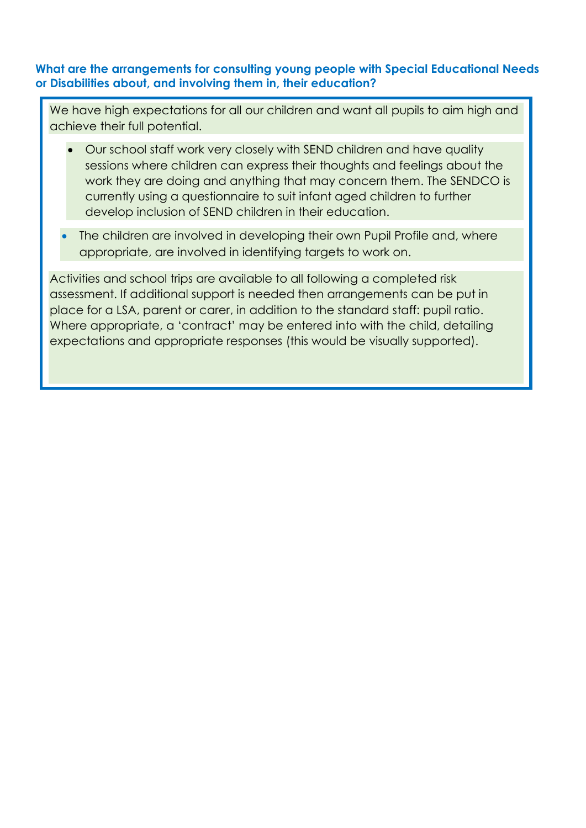## **What are the arrangements for consulting young people with Special Educational Needs or Disabilities about, and involving them in, their education?**

We have high expectations for all our children and want all pupils to aim high and achieve their full potential.

- Our school staff work very closely with SEND children and have quality sessions where children can express their thoughts and feelings about the work they are doing and anything that may concern them. The SENDCO is currently using a questionnaire to suit infant aged children to further develop inclusion of SEND children in their education.
- The children are involved in developing their own Pupil Profile and, where appropriate, are involved in identifying targets to work on.

Activities and school trips are available to all following a completed risk assessment. If additional support is needed then arrangements can be put in place for a LSA, parent or carer, in addition to the standard staff: pupil ratio. Where appropriate, a 'contract' may be entered into with the child, detailing expectations and appropriate responses (this would be visually supported).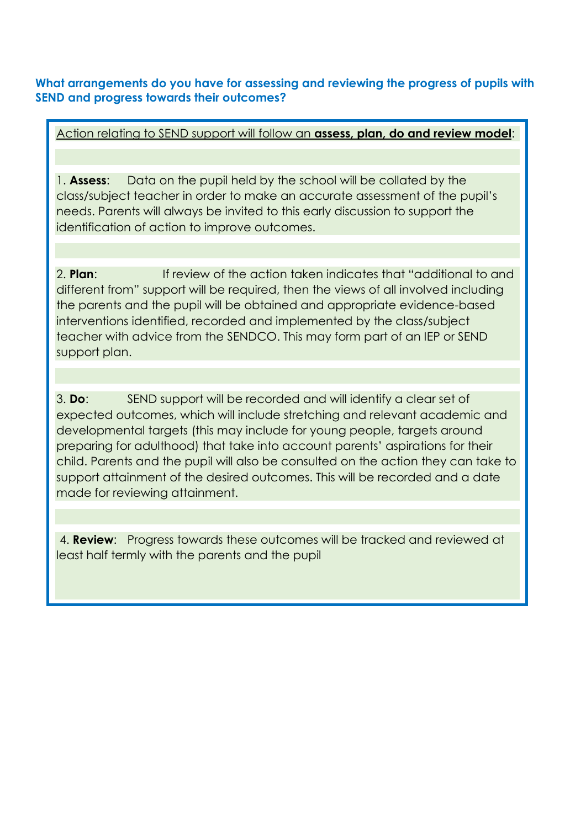**What arrangements do you have for assessing and reviewing the progress of pupils with SEND and progress towards their outcomes?**

Action relating to SEND support will follow an **assess, plan, do and review model**:

1. **Assess**: Data on the pupil held by the school will be collated by the class/subject teacher in order to make an accurate assessment of the pupil's needs. Parents will always be invited to this early discussion to support the identification of action to improve outcomes.

2. **Plan**: If review of the action taken indicates that "additional to and different from" support will be required, then the views of all involved including the parents and the pupil will be obtained and appropriate evidence-based interventions identified, recorded and implemented by the class/subject teacher with advice from the SENDCO. This may form part of an IEP or SEND support plan.

3. **Do**: SEND support will be recorded and will identify a clear set of expected outcomes, which will include stretching and relevant academic and developmental targets (this may include for young people, targets around preparing for adulthood) that take into account parents' aspirations for their child. Parents and the pupil will also be consulted on the action they can take to support attainment of the desired outcomes. This will be recorded and a date made for reviewing attainment.

4. **Review**: Progress towards these outcomes will be tracked and reviewed at least half termly with the parents and the pupil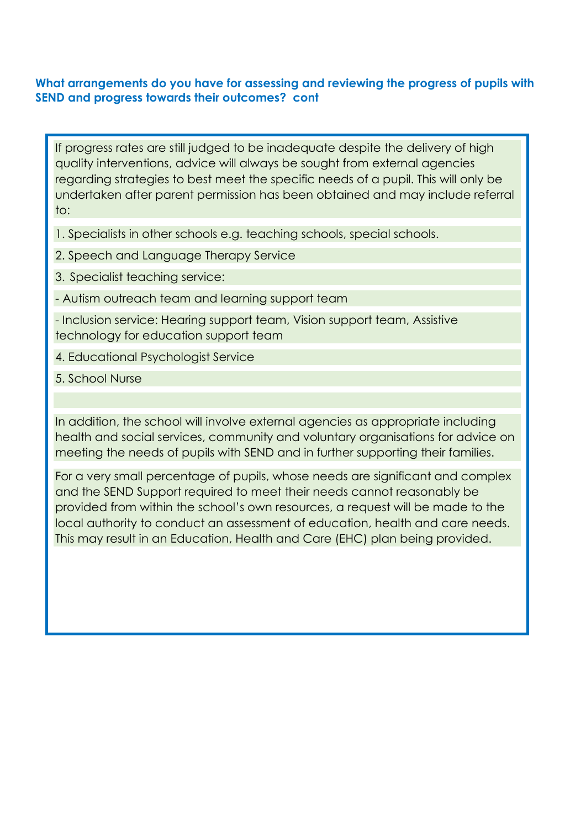### **What arrangements do you have for assessing and reviewing the progress of pupils with SEND and progress towards their outcomes? cont**

If progress rates are still judged to be inadequate despite the delivery of high quality interventions, advice will always be sought from external agencies regarding strategies to best meet the specific needs of a pupil. This will only be undertaken after parent permission has been obtained and may include referral to:

1. Specialists in other schools e.g. teaching schools, special schools.

2. Speech and Language Therapy Service

3. Specialist teaching service:

- Autism outreach team and learning support team

- Inclusion service: Hearing support team, Vision support team, Assistive technology for education support team

4. Educational Psychologist Service

5. School Nurse

In addition, the school will involve external agencies as appropriate including health and social services, community and voluntary organisations for advice on meeting the needs of pupils with SEND and in further supporting their families.

For a very small percentage of pupils, whose needs are significant and complex and the SEND Support required to meet their needs cannot reasonably be provided from within the school's own resources, a request will be made to the local authority to conduct an assessment of education, health and care needs. This may result in an Education, Health and Care (EHC) plan being provided.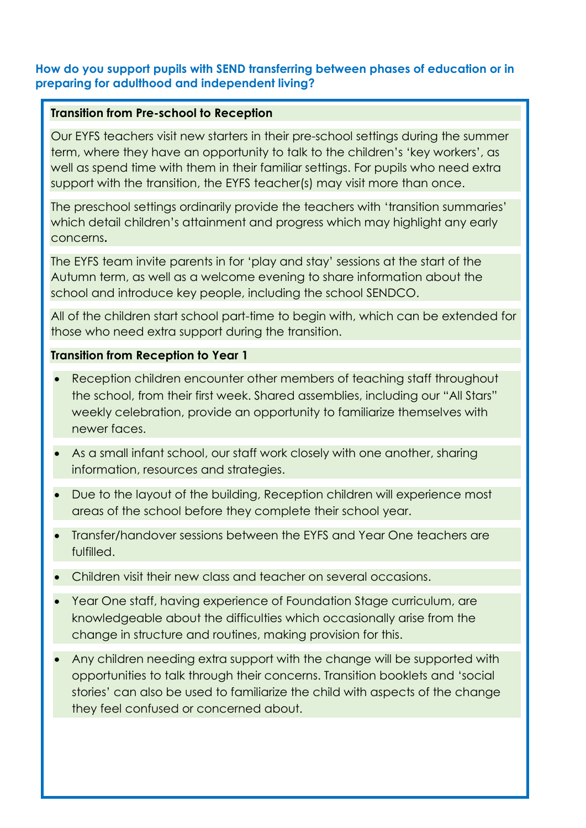# **How do you support pupils with SEND transferring between phases of education or in preparing for adulthood and independent living?**

### **Transition from Pre-school to Reception**

Our EYFS teachers visit new starters in their pre-school settings during the summer term, where they have an opportunity to talk to the children's 'key workers', as well as spend time with them in their familiar settings. For pupils who need extra support with the transition, the EYFS teacher(s) may visit more than once.

The preschool settings ordinarily provide the teachers with 'transition summaries' which detail children's attainment and progress which may highlight any early concerns**.** 

The EYFS team invite parents in for 'play and stay' sessions at the start of the Autumn term, as well as a welcome evening to share information about the school and introduce key people, including the school SENDCO.

All of the children start school part-time to begin with, which can be extended for those who need extra support during the transition.

### **Transition from Reception to Year 1**

- Reception children encounter other members of teaching staff throughout the school, from their first week. Shared assemblies, including our "All Stars" weekly celebration, provide an opportunity to familiarize themselves with newer faces.
- As a small infant school, our staff work closely with one another, sharing information, resources and strategies.
- Due to the layout of the building, Reception children will experience most areas of the school before they complete their school year.
- Transfer/handover sessions between the EYFS and Year One teachers are fulfilled.
- Children visit their new class and teacher on several occasions.
- Year One staff, having experience of Foundation Stage curriculum, are knowledgeable about the difficulties which occasionally arise from the change in structure and routines, making provision for this.
- Any children needing extra support with the change will be supported with opportunities to talk through their concerns. Transition booklets and 'social stories' can also be used to familiarize the child with aspects of the change they feel confused or concerned about.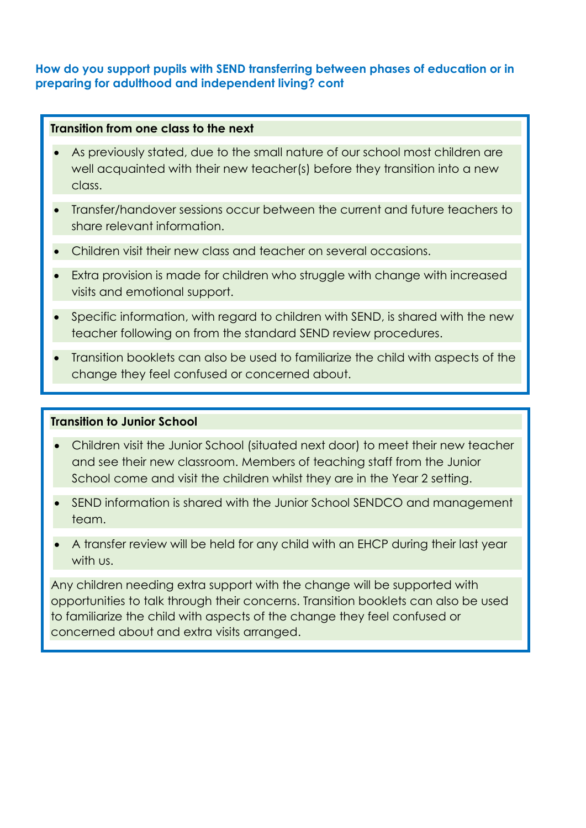# **How do you support pupils with SEND transferring between phases of education or in preparing for adulthood and independent living? cont**

### **Transition from one class to the next**

- As previously stated, due to the small nature of our school most children are well acquainted with their new teacher(s) before they transition into a new class.
- Transfer/handover sessions occur between the current and future teachers to share relevant information.
- Children visit their new class and teacher on several occasions.
- Extra provision is made for children who struggle with change with increased visits and emotional support.
- Specific information, with regard to children with SEND, is shared with the new teacher following on from the standard SEND review procedures.
- Transition booklets can also be used to familiarize the child with aspects of the change they feel confused or concerned about.

### **Transition to Junior School**

- Children visit the Junior School (situated next door) to meet their new teacher and see their new classroom. Members of teaching staff from the Junior School come and visit the children whilst they are in the Year 2 setting.
- SEND information is shared with the Junior School SENDCO and management team.
- A transfer review will be held for any child with an EHCP during their last year with us.

Any children needing extra support with the change will be supported with opportunities to talk through their concerns. Transition booklets can also be used to familiarize the child with aspects of the change they feel confused or concerned about and extra visits arranged.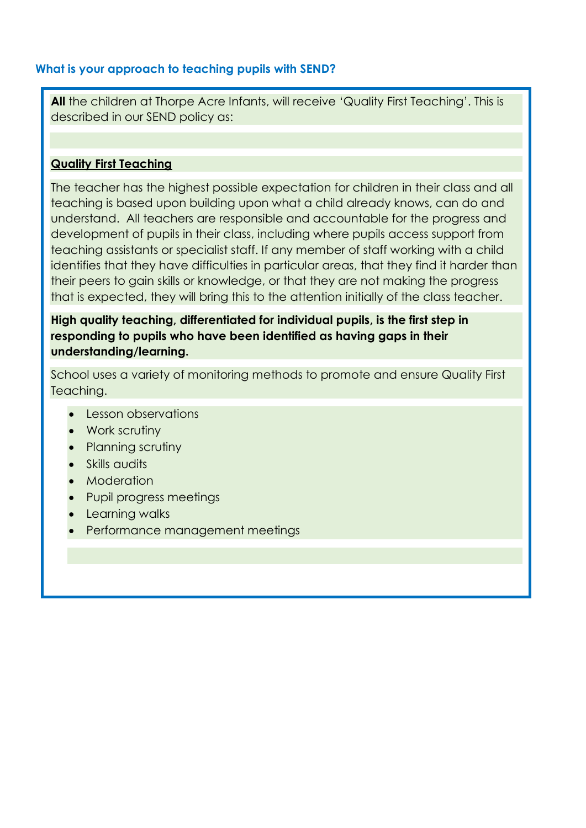# **What is your approach to teaching pupils with SEND?**

**All** the children at Thorpe Acre Infants, will receive 'Quality First Teaching'. This is described in our SEND policy as:

### **Quality First Teaching**

The teacher has the highest possible expectation for children in their class and all teaching is based upon building upon what a child already knows, can do and understand. All teachers are responsible and accountable for the progress and development of pupils in their class, including where pupils access support from teaching assistants or specialist staff. If any member of staff working with a child identifies that they have difficulties in particular areas, that they find it harder than their peers to gain skills or knowledge, or that they are not making the progress that is expected, they will bring this to the attention initially of the class teacher.

**High quality teaching, differentiated for individual pupils, is the first step in responding to pupils who have been identified as having gaps in their understanding/learning.** 

School uses a variety of monitoring methods to promote and ensure Quality First Teaching.

- Lesson observations
- Work scrutiny
- Planning scrutiny
- Skills audits
- Moderation
- Pupil progress meetings
- Learning walks
- Performance management meetings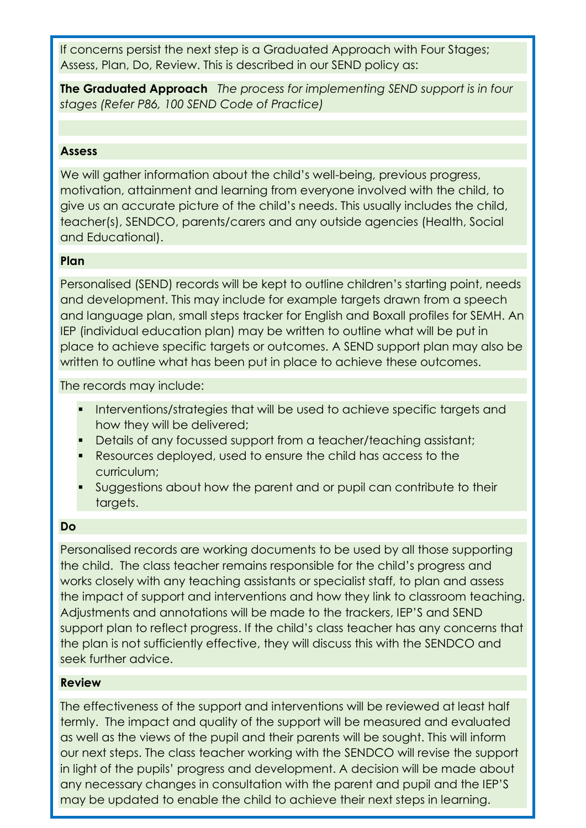If concerns persist the next step is a Graduated Approach with Four Stages; Assess, Plan, Do, Review. This is described in our SEND policy as:

**The Graduated Approach** *The process for implementing SEND support is in four stages (Refer P86, 100 SEND Code of Practice)*

## **Assess**

We will gather information about the child's well-being, previous progress, motivation, attainment and learning from everyone involved with the child, to give us an accurate picture of the child's needs. This usually includes the child, teacher(s), SENDCO, parents/carers and any outside agencies (Health, Social and Educational).

### **Plan**

Personalised (SEND) records will be kept to outline children's starting point, needs and development. This may include for example targets drawn from a speech and language plan, small steps tracker for English and Boxall profiles for SEMH. An IEP (individual education plan) may be written to outline what will be put in place to achieve specific targets or outcomes. A SEND support plan may also be written to outline what has been put in place to achieve these outcomes.

The records may include:

- Interventions/strategies that will be used to achieve specific targets and how they will be delivered;
- Details of any focussed support from a teacher/teaching assistant;
- Resources deployed, used to ensure the child has access to the curriculum;
- Suggestions about how the parent and or pupil can contribute to their targets.

### **Do**

Personalised records are working documents to be used by all those supporting the child. The class teacher remains responsible for the child's progress and works closely with any teaching assistants or specialist staff, to plan and assess the impact of support and interventions and how they link to classroom teaching. Adjustments and annotations will be made to the trackers, IEP'S and SEND support plan to reflect progress. If the child's class teacher has any concerns that the plan is not sufficiently effective, they will discuss this with the SENDCO and seek further advice.

### **Review**

The effectiveness of the support and interventions will be reviewed at least half termly. The impact and quality of the support will be measured and evaluated as well as the views of the pupil and their parents will be sought. This will inform our next steps. The class teacher working with the SENDCO will revise the support in light of the pupils' progress and development. A decision will be made about any necessary changes in consultation with the parent and pupil and the IEP'S may be updated to enable the child to achieve their next steps in learning.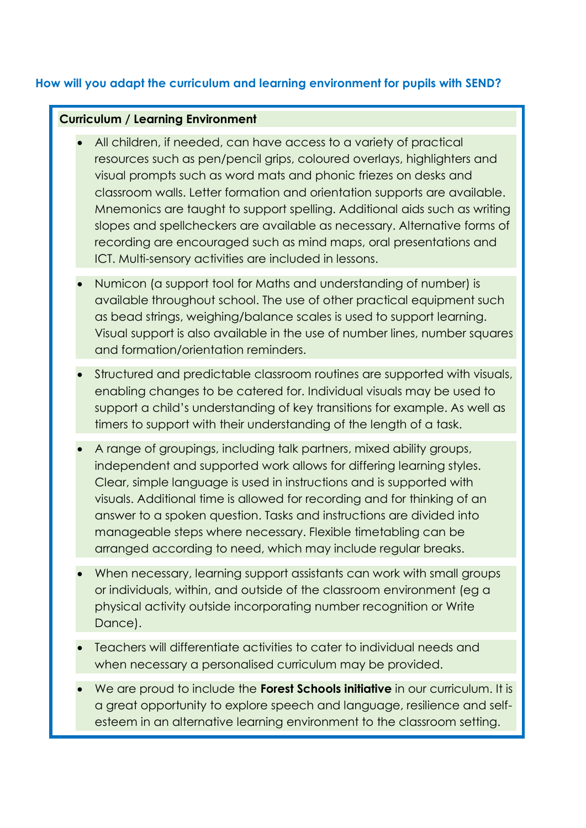# **How will you adapt the curriculum and learning environment for pupils with SEND?**

### **Curriculum / Learning Environment**

- All children, if needed, can have access to a variety of practical resources such as pen/pencil grips, coloured overlays, highlighters and visual prompts such as word mats and phonic friezes on desks and classroom walls. Letter formation and orientation supports are available. Mnemonics are taught to support spelling. Additional aids such as writing slopes and spellcheckers are available as necessary. Alternative forms of recording are encouraged such as mind maps, oral presentations and ICT. Multi-sensory activities are included in lessons.
- Numicon (a support tool for Maths and understanding of number) is available throughout school. The use of other practical equipment such as bead strings, weighing/balance scales is used to support learning. Visual support is also available in the use of number lines, number squares and formation/orientation reminders.
- Structured and predictable classroom routines are supported with visuals, enabling changes to be catered for. Individual visuals may be used to support a child's understanding of key transitions for example. As well as timers to support with their understanding of the length of a task.
- A range of groupings, including talk partners, mixed ability groups, independent and supported work allows for differing learning styles. Clear, simple language is used in instructions and is supported with visuals. Additional time is allowed for recording and for thinking of an answer to a spoken question. Tasks and instructions are divided into manageable steps where necessary. Flexible timetabling can be arranged according to need, which may include regular breaks.
- When necessary, learning support assistants can work with small groups or individuals, within, and outside of the classroom environment (eg a physical activity outside incorporating number recognition or Write Dance).
- Teachers will differentiate activities to cater to individual needs and when necessary a personalised curriculum may be provided.
- We are proud to include the **Forest Schools initiative** in our curriculum. It is a great opportunity to explore speech and language, resilience and selfesteem in an alternative learning environment to the classroom setting.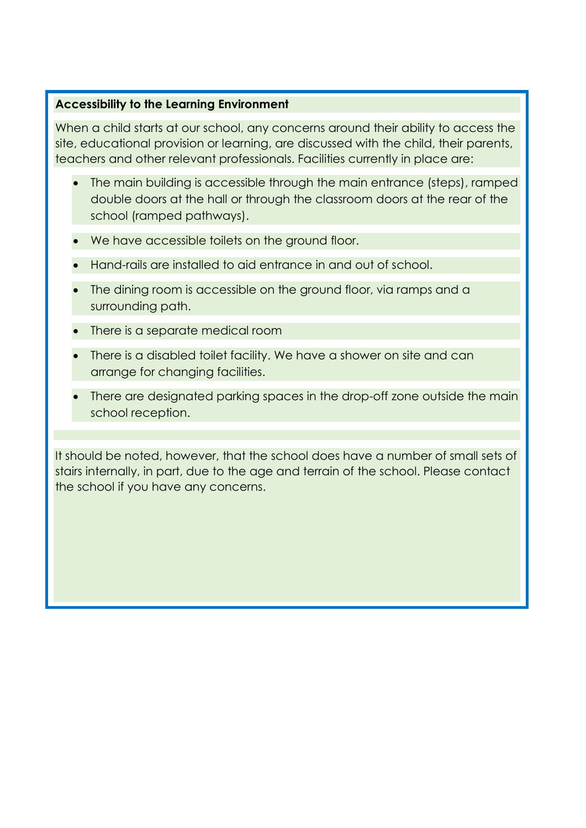## **Accessibility to the Learning Environment**

When a child starts at our school, any concerns around their ability to access the site, educational provision or learning, are discussed with the child, their parents, teachers and other relevant professionals. Facilities currently in place are:

- The main building is accessible through the main entrance (steps), ramped double doors at the hall or through the classroom doors at the rear of the school (ramped pathways).
- We have accessible toilets on the ground floor.
- Hand-rails are installed to aid entrance in and out of school.
- The dining room is accessible on the ground floor, via ramps and a surrounding path.
- There is a separate medical room
- There is a disabled toilet facility. We have a shower on site and can arrange for changing facilities.
- There are designated parking spaces in the drop-off zone outside the main school reception.

It should be noted, however, that the school does have a number of small sets of stairs internally, in part, due to the age and terrain of the school. Please contact the school if you have any concerns.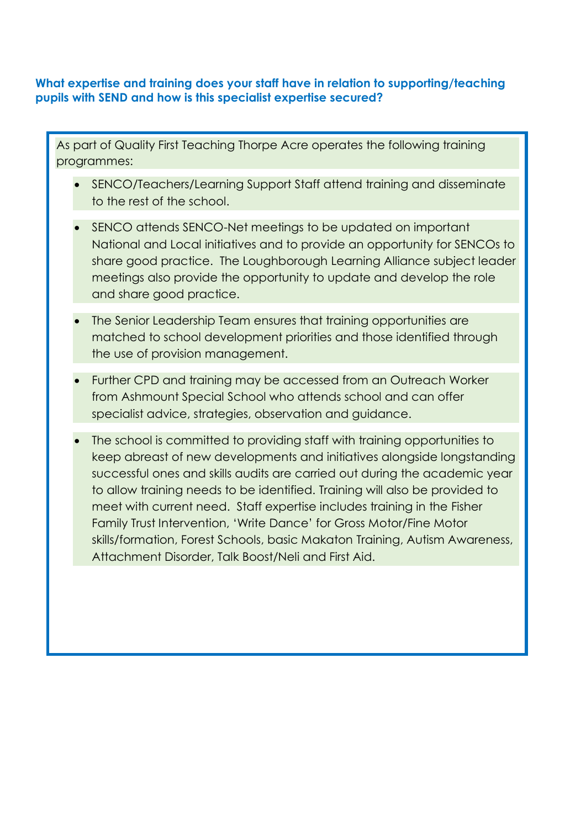# **What expertise and training does your staff have in relation to supporting/teaching pupils with SEND and how is this specialist expertise secured?**

As part of Quality First Teaching Thorpe Acre operates the following training programmes:

- SENCO/Teachers/Learning Support Staff attend training and disseminate to the rest of the school.
- SENCO attends SENCO-Net meetings to be updated on important National and Local initiatives and to provide an opportunity for SENCOs to share good practice. The Loughborough Learning Alliance subject leader meetings also provide the opportunity to update and develop the role and share good practice.
- The Senior Leadership Team ensures that training opportunities are matched to school development priorities and those identified through the use of provision management.
- Further CPD and training may be accessed from an Outreach Worker from Ashmount Special School who attends school and can offer specialist advice, strategies, observation and guidance.
- The school is committed to providing staff with training opportunities to keep abreast of new developments and initiatives alongside longstanding successful ones and skills audits are carried out during the academic year to allow training needs to be identified. Training will also be provided to meet with current need. Staff expertise includes training in the Fisher Family Trust Intervention, 'Write Dance' for Gross Motor/Fine Motor skills/formation, Forest Schools, basic Makaton Training, Autism Awareness, Attachment Disorder, Talk Boost/Neli and First Aid.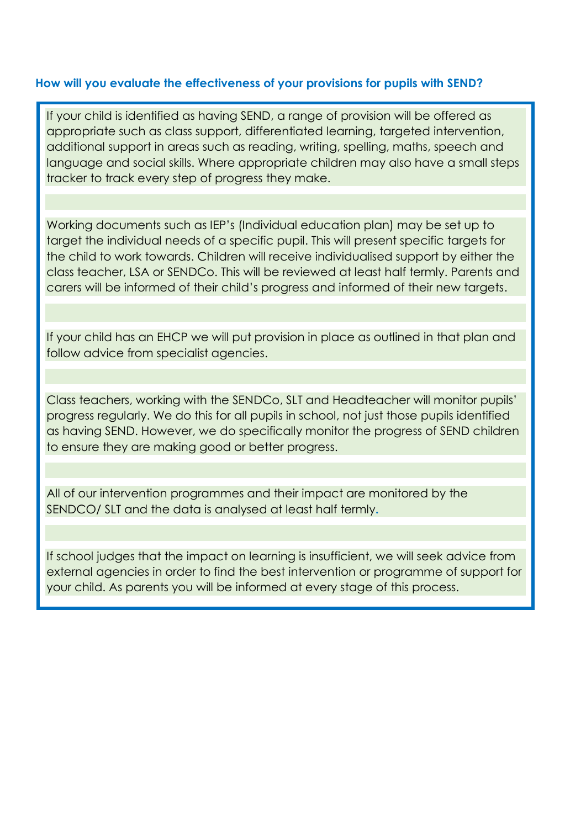### **How will you evaluate the effectiveness of your provisions for pupils with SEND?**

If your child is identified as having SEND, a range of provision will be offered as appropriate such as class support, differentiated learning, targeted intervention, additional support in areas such as reading, writing, spelling, maths, speech and language and social skills. Where appropriate children may also have a small steps tracker to track every step of progress they make.

Working documents such as IEP's (Individual education plan) may be set up to target the individual needs of a specific pupil. This will present specific targets for the child to work towards. Children will receive individualised support by either the class teacher, LSA or SENDCo. This will be reviewed at least half termly. Parents and carers will be informed of their child's progress and informed of their new targets.

If your child has an EHCP we will put provision in place as outlined in that plan and follow advice from specialist agencies.

Class teachers, working with the SENDCo, SLT and Headteacher will monitor pupils' progress regularly. We do this for all pupils in school, not just those pupils identified as having SEND. However, we do specifically monitor the progress of SEND children to ensure they are making good or better progress.

All of our intervention programmes and their impact are monitored by the SENDCO/ SLT and the data is analysed at least half termly**.** 

If school judges that the impact on learning is insufficient, we will seek advice from external agencies in order to find the best intervention or programme of support for your child. As parents you will be informed at every stage of this process.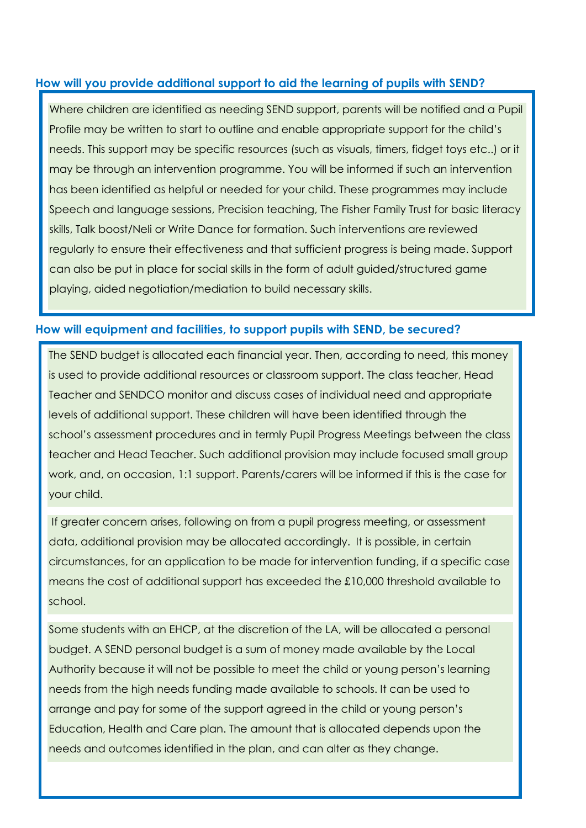# **How will you provide additional support to aid the learning of pupils with SEND?**

Where children are identified as needing SEND support, parents will be notified and a Pupil Profile may be written to start to outline and enable appropriate support for the child's needs. This support may be specific resources (such as visuals, timers, fidget toys etc..) or it may be through an intervention programme. You will be informed if such an intervention has been identified as helpful or needed for your child. These programmes may include Speech and language sessions, Precision teaching, The Fisher Family Trust for basic literacy skills, Talk boost/Neli or Write Dance for formation. Such interventions are reviewed regularly to ensure their effectiveness and that sufficient progress is being made. Support can also be put in place for social skills in the form of adult guided/structured game playing, aided negotiation/mediation to build necessary skills.

# **How will equipment and facilities, to support pupils with SEND, be secured?**

The SEND budget is allocated each financial year. Then, according to need, this money is used to provide additional resources or classroom support. The class teacher, Head Teacher and SENDCO monitor and discuss cases of individual need and appropriate levels of additional support. These children will have been identified through the school's assessment procedures and in termly Pupil Progress Meetings between the class teacher and Head Teacher. Such additional provision may include focused small group work, and, on occasion, 1:1 support. Parents/carers will be informed if this is the case for your child.

If greater concern arises, following on from a pupil progress meeting, or assessment data, additional provision may be allocated accordingly. It is possible, in certain circumstances, for an application to be made for intervention funding, if a specific case means the cost of additional support has exceeded the £10,000 threshold available to school.

Some students with an EHCP, at the discretion of the LA, will be allocated a personal budget. A SEND personal budget is a sum of money made available by the Local Authority because it will not be possible to meet the child or young person's learning needs from the high needs funding made available to schools. It can be used to arrange and pay for some of the support agreed in the child or young person's Education, Health and Care plan. The amount that is allocated depends upon the needs and outcomes identified in the plan, and can alter as they change.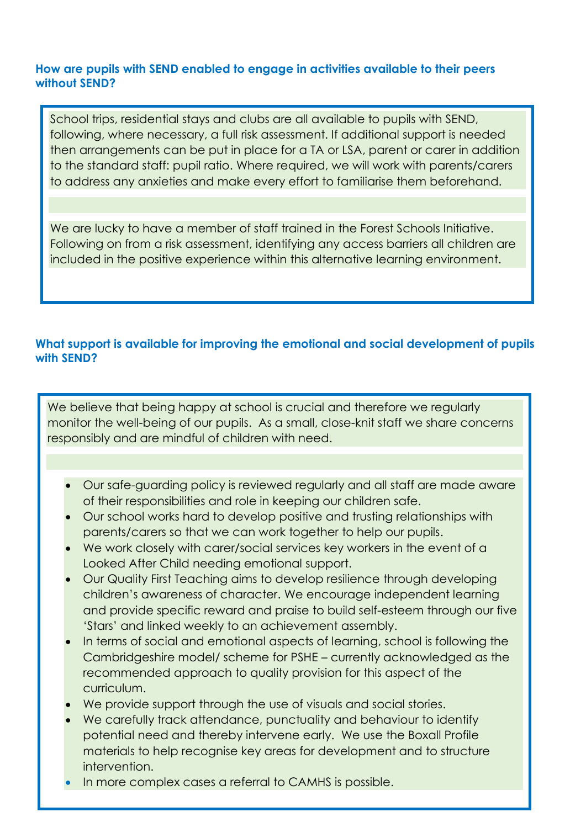## **How are pupils with SEND enabled to engage in activities available to their peers without SEND?**

School trips, residential stays and clubs are all available to pupils with SEND, following, where necessary, a full risk assessment. If additional support is needed then arrangements can be put in place for a TA or LSA, parent or carer in addition to the standard staff: pupil ratio. Where required, we will work with parents/carers to address any anxieties and make every effort to familiarise them beforehand.

We are lucky to have a member of staff trained in the Forest Schools Initiative. Following on from a risk assessment, identifying any access barriers all children are included in the positive experience within this alternative learning environment.

# **What support is available for improving the emotional and social development of pupils with SEND?**

We believe that being happy at school is crucial and therefore we regularly monitor the well-being of our pupils. As a small, close-knit staff we share concerns responsibly and are mindful of children with need.

- Our safe-guarding policy is reviewed regularly and all staff are made aware of their responsibilities and role in keeping our children safe.
- Our school works hard to develop positive and trusting relationships with parents/carers so that we can work together to help our pupils.
- We work closely with carer/social services key workers in the event of a Looked After Child needing emotional support.
- Our Quality First Teaching aims to develop resilience through developing children's awareness of character. We encourage independent learning and provide specific reward and praise to build self-esteem through our five 'Stars' and linked weekly to an achievement assembly.
- In terms of social and emotional aspects of learning, school is following the Cambridgeshire model/ scheme for PSHE – currently acknowledged as the recommended approach to quality provision for this aspect of the curriculum.
- We provide support through the use of visuals and social stories.
- We carefully track attendance, punctuality and behaviour to identify potential need and thereby intervene early. We use the Boxall Profile materials to help recognise key areas for development and to structure intervention.
- In more complex cases a referral to CAMHS is possible.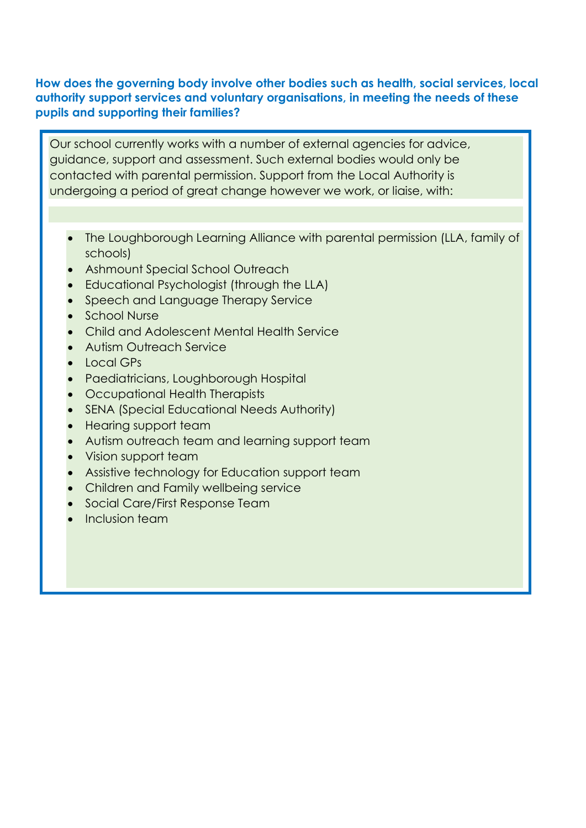# **How does the governing body involve other bodies such as health, social services, local authority support services and voluntary organisations, in meeting the needs of these pupils and supporting their families?**

Our school currently works with a number of external agencies for advice, guidance, support and assessment. Such external bodies would only be contacted with parental permission. Support from the Local Authority is undergoing a period of great change however we work, or liaise, with:

- The Loughborough Learning Alliance with parental permission (LLA, family of schools)
- Ashmount Special School Outreach
- Educational Psychologist (through the LLA)
- Speech and Language Therapy Service
- School Nurse
- Child and Adolescent Mental Health Service
- Autism Outreach Service
- Local GPs
- Paediatricians, Loughborough Hospital
- Occupational Health Therapists
- SENA (Special Educational Needs Authority)
- Hearing support team
- Autism outreach team and learning support team
- Vision support team
- Assistive technology for Education support team
- Children and Family wellbeing service
- Social Care/First Response Team
- Inclusion team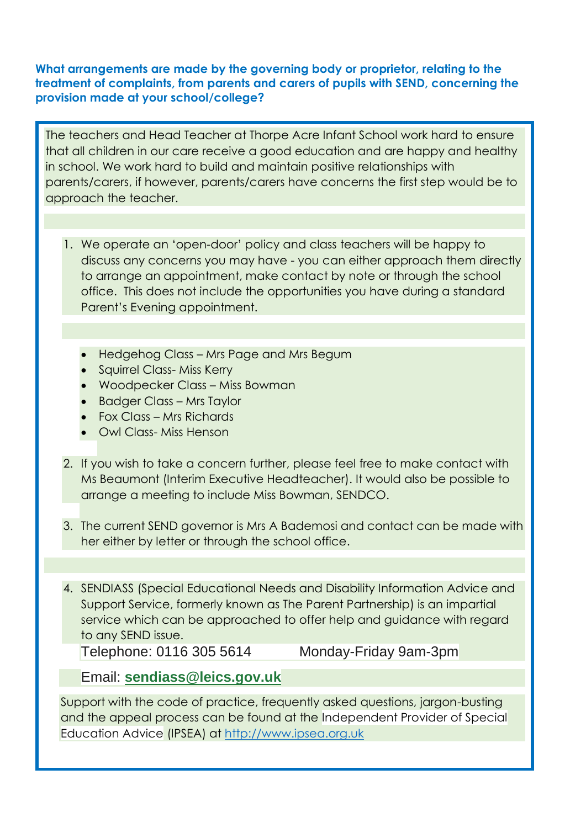## **What arrangements are made by the governing body or proprietor, relating to the treatment of complaints, from parents and carers of pupils with SEND, concerning the provision made at your school/college?**

The teachers and Head Teacher at Thorpe Acre Infant School work hard to ensure that all children in our care receive a good education and are happy and healthy in school. We work hard to build and maintain positive relationships with parents/carers, if however, parents/carers have concerns the first step would be to approach the teacher.

- 1. We operate an 'open-door' policy and class teachers will be happy to discuss any concerns you may have - you can either approach them directly to arrange an appointment, make contact by note or through the school office. This does not include the opportunities you have during a standard Parent's Evening appointment.
	- Hedgehog Class Mrs Page and Mrs Begum
	- Squirrel Class- Miss Kerry
	- Woodpecker Class Miss Bowman
	- Badger Class Mrs Taylor
	- Fox Class Mrs Richards
	- Owl Class- Miss Henson
- 2. If you wish to take a concern further, please feel free to make contact with Ms Beaumont (Interim Executive Headteacher). It would also be possible to arrange a meeting to include Miss Bowman, SENDCO.
- 3. The current SEND governor is Mrs A Bademosi and contact can be made with her either by letter or through the school office.

4. SENDIASS (Special Educational Needs and Disability Information Advice and Support Service, formerly known as The Parent Partnership) is an impartial service which can be approached to offer help and guidance with regard to any SEND issue.

Telephone: 0116 305 5614 Monday-Friday 9am-3pm

Email: **[sendiass@leics.gov.uk](mailto:sendiass@leics.gov.uk)**

Support with the code of practice, frequently asked questions, jargon-busting and the appeal process can be found at the Independent Provider of Special Education Advice (IPSEA) at [http://www.ipsea.org.uk](http://www.ipsea.org.uk/)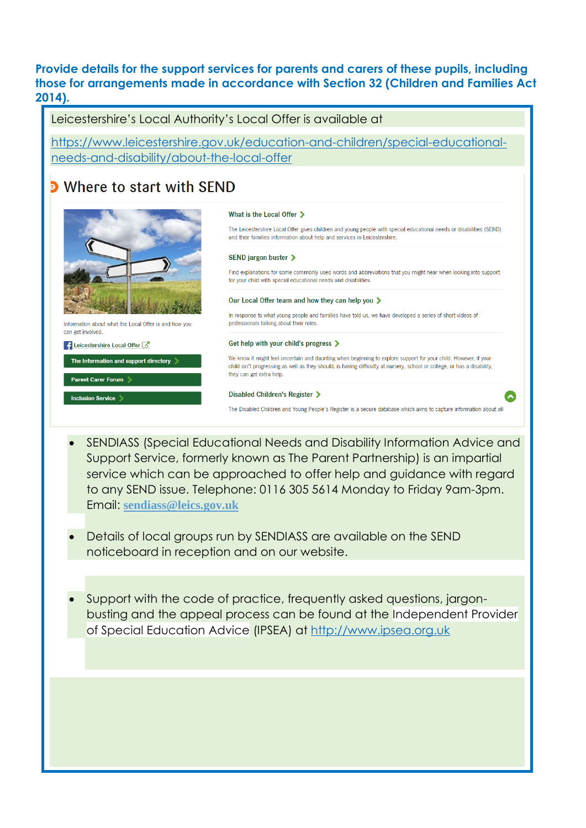**Provide details for the support services for parents and carers of these pupils, including those for arrangements made in accordance with Section 32 (Children and Families Act 2014).**

Leicestershire's Local Authority's Local Offer is available at [https://www.leicestershire.gov.uk/education-and-children/special-educational](https://www.leicestershire.gov.uk/education-and-children/special-educational-needs-and-disability/about-the-local-offer)[needs-and-disability/about-the-local-offer](https://www.leicestershire.gov.uk/education-and-children/special-educational-needs-and-disability/about-the-local-offer) • Where to start with SFND What is the Local Offer > The Leicestershire Local Offer gives children and young people with special educational needs or disabilities (SEND) and their families information about help and services in Leicestershire. **SEND jargon buster >** Find explanations for some commonly used words and abbreviations that you might hear when looking into support for your child with special educational needs and disabilities Our Local Offer team and how they can help you > In response to what young people and families have told us, we have developed a series of short videos of professionals talking about their roles. Information about what the Local Offer is and how you can get involved Get help with your child's progress > Leicestershire Local Offer We know it might feel uncertain and daunting when beginning to explore support for your child. However, if your The Information and support directory  $\geqslant$ child isn't progressing as well as they should, is having difficulty at nursery, school or college, or has a disability, they can get extra help. Parent Carer Forum > Disabled Children's Register > Inclusion Service The Disabled Children and Young People's Register is a secure database which aims to capture information about all

- SENDIASS (Special Educational Needs and Disability Information Advice and Support Service, formerly known as The Parent Partnership) is an impartial service which can be approached to offer help and guidance with regard to any SEND issue. Telephone: 0116 305 5614 Monday to Friday 9am-3pm. Email: **[sendiass@leics.gov.uk](mailto:sendiass@leics.gov.uk)**
- Details of local groups run by SENDIASS are available on the SEND noticeboard in reception and on our website.
- Support with the code of practice, frequently asked questions, jargonbusting and the appeal process can be found at the Independent Provider of Special Education Advice (IPSEA) at [http://www.ipsea.org.uk](http://www.ipsea.org.uk/)